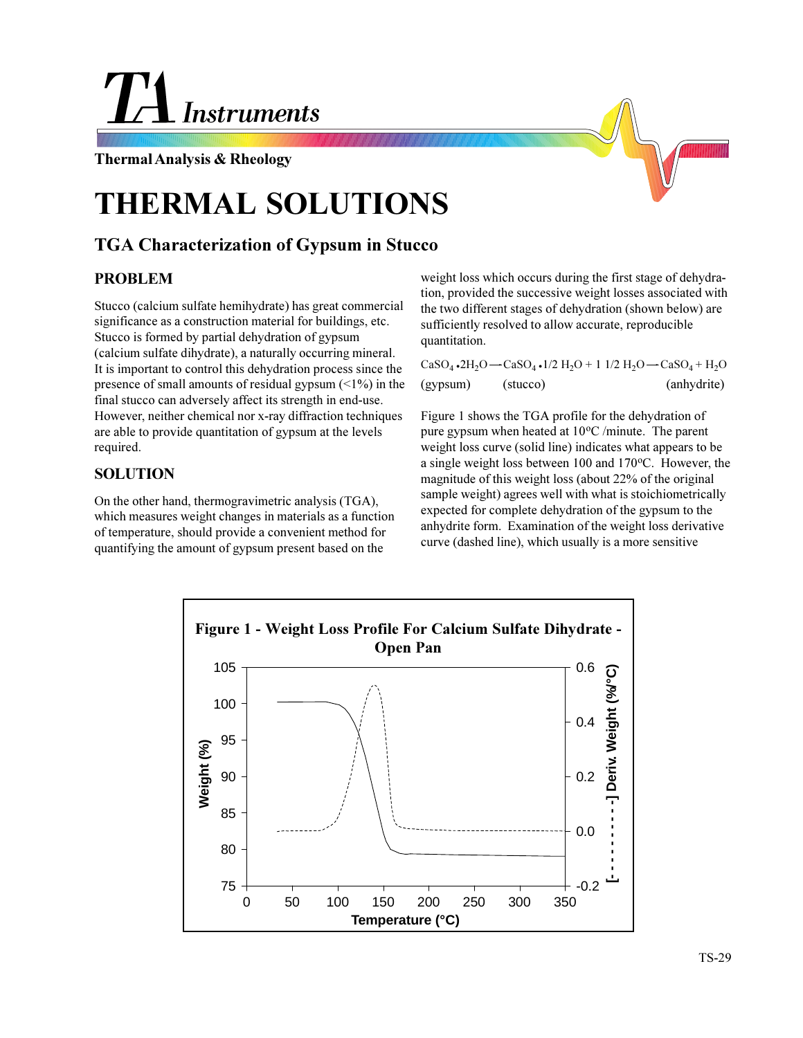# **Instruments**

#### **Thermal Analysis & Rheology**

## **THERMAL SOLUTIONS**

### **TGA Characterization of Gypsum in Stucco**

#### **PROBLEM**

Stucco (calcium sulfate hemihydrate) has great commercial significance as a construction material for buildings, etc. Stucco is formed by partial dehydration of gypsum (calcium sulfate dihydrate), a naturally occurring mineral. It is important to control this dehydration process since the presence of small amounts of residual gypsum  $(\leq 1\%)$  in the final stucco can adversely affect its strength in end-use. However, neither chemical nor x-ray diffraction techniques are able to provide quantitation of gypsum at the levels required.

#### **SOLUTION**

On the other hand, thermogravimetric analysis (TGA), which measures weight changes in materials as a function of temperature, should provide a convenient method for quantifying the amount of gypsum present based on the

weight loss which occurs during the first stage of dehydration, provided the successive weight losses associated with the two different stages of dehydration (shown below) are sufficiently resolved to allow accurate, reproducible quantitation.

|          |          | CaSO <sub>4</sub> •2H <sub>2</sub> O $\rightarrow$ CaSO <sub>4</sub> •1/2 H <sub>2</sub> O + 1 1/2 H <sub>2</sub> O $\rightarrow$ CaSO <sub>4</sub> + H <sub>2</sub> O |
|----------|----------|------------------------------------------------------------------------------------------------------------------------------------------------------------------------|
| (gypsum) | (stucco) | (anhydrite)                                                                                                                                                            |

Figure 1 shows the TGA profile for the dehydration of pure gypsum when heated at  $10^{\circ}$ C /minute. The parent weight loss curve (solid line) indicates what appears to be a single weight loss between  $100$  and  $170$ <sup>o</sup>C. However, the magnitude of this weight loss (about 22% of the original sample weight) agrees well with what is stoichiometrically expected for complete dehydration of the gypsum to the anhydrite form. Examination of the weight loss derivative curve (dashed line), which usually is a more sensitive

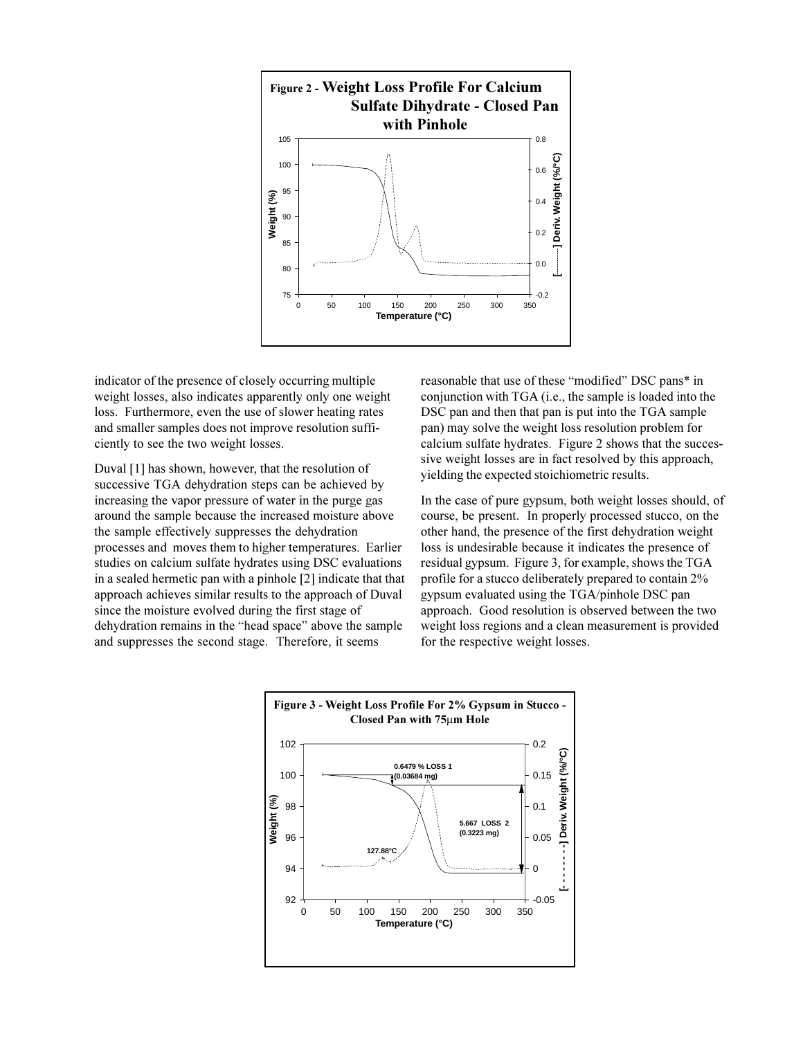

indicator of the presence of closely occurring multiple weight losses, also indicates apparently only one weight loss. Furthermore, even the use of slower heating rates and smaller samples does not improve resolution sufficiently to see the two weight losses.

Duval [1] has shown, however, that the resolution of successive TGA dehydration steps can be achieved by increasing the vapor pressure of water in the purge gas around the sample because the increased moisture above the sample effectively suppresses the dehydration processes and moves them to higher temperatures. Earlier studies on calcium sulfate hydrates using DSC evaluations in a sealed hermetic pan with a pinhole [2] indicate that that approach achieves similar results to the approach of Duval since the moisture evolved during the first stage of dehydration remains in the "head space" above the sample and suppresses the second stage. Therefore, it seems

reasonable that use of these "modified" DSC pans\* in conjunction with TGA (i.e., the sample is loaded into the DSC pan and then that pan is put into the TGA sample pan) may solve the weight loss resolution problem for calcium sulfate hydrates. Figure 2 shows that the successive weight losses are in fact resolved by this approach, yielding the expected stoichiometric results.

In the case of pure gypsum, both weight losses should, of course, be present. In properly processed stucco, on the other hand, the presence of the first dehydration weight loss is undesirable because it indicates the presence of residual gypsum. Figure 3, for example, shows the TGA profile for a stucco deliberately prepared to contain 2% gypsum evaluated using the TGA/pinhole DSC pan approach. Good resolution is observed between the two weight loss regions and a clean measurement is provided for the respective weight losses.